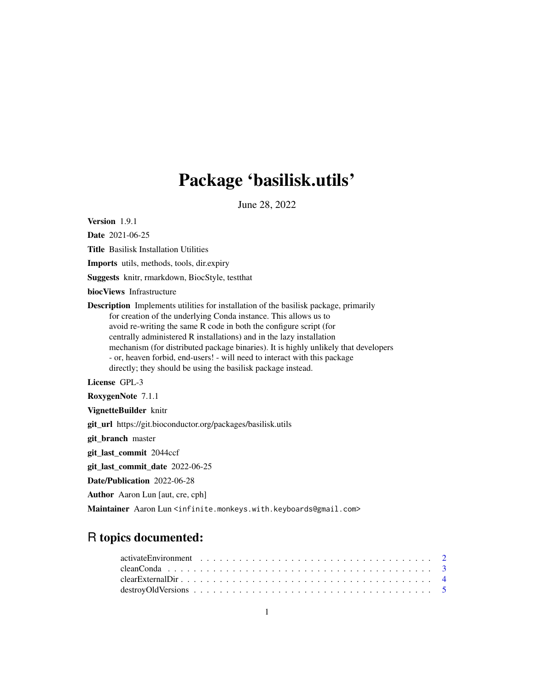# Package 'basilisk.utils'

June 28, 2022

<span id="page-0-0"></span>Version 1.9.1

Date 2021-06-25

Title Basilisk Installation Utilities

Imports utils, methods, tools, dir.expiry

Suggests knitr, rmarkdown, BiocStyle, testthat

biocViews Infrastructure

Description Implements utilities for installation of the basilisk package, primarily for creation of the underlying Conda instance. This allows us to avoid re-writing the same R code in both the configure script (for centrally administered R installations) and in the lazy installation mechanism (for distributed package binaries). It is highly unlikely that developers - or, heaven forbid, end-users! - will need to interact with this package directly; they should be using the basilisk package instead.

License GPL-3

RoxygenNote 7.1.1

VignetteBuilder knitr

git\_url https://git.bioconductor.org/packages/basilisk.utils

git\_branch master

git\_last\_commit 2044ccf

git\_last\_commit\_date 2022-06-25

Date/Publication 2022-06-28

Author Aaron Lun [aut, cre, cph]

Maintainer Aaron Lun <infinite.monkeys.with.keyboards@gmail.com>

# R topics documented: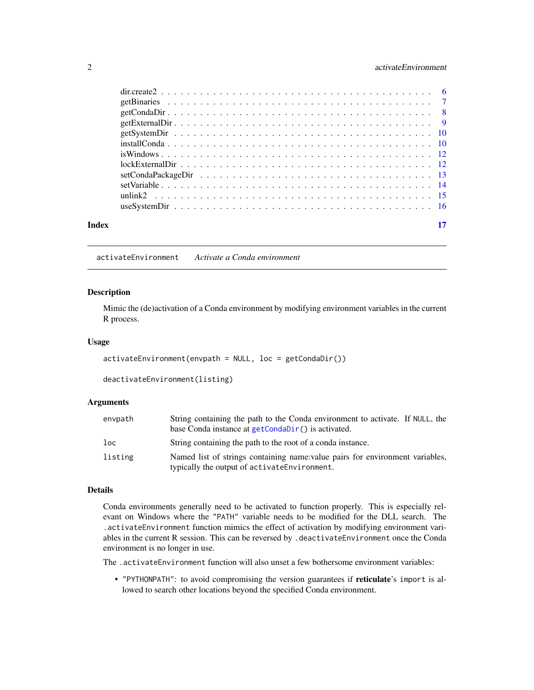### <span id="page-1-0"></span>2 activateEnvironment

| Index |  |
|-------|--|

activateEnvironment *Activate a Conda environment*

# Description

Mimic the (de)activation of a Conda environment by modifying environment variables in the current R process.

#### Usage

```
activateEnvironment(envpath = NULL, loc = getCondaDir())
```

```
deactivateEnvironment(listing)
```
# Arguments

| envpath | String containing the path to the Conda environment to activate. If NULL, the                                                  |
|---------|--------------------------------------------------------------------------------------------------------------------------------|
|         | base Conda instance at getCondaDir() is activated.                                                                             |
| loc     | String containing the path to the root of a conda instance.                                                                    |
| listing | Named list of strings containing name: value pairs for environment variables,<br>typically the output of activate Environment. |

#### Details

Conda environments generally need to be activated to function properly. This is especially relevant on Windows where the "PATH" variable needs to be modified for the DLL search. The .activateEnvironment function mimics the effect of activation by modifying environment variables in the current R session. This can be reversed by .deactivateEnvironment once the Conda environment is no longer in use.

The .activateEnvironment function will also unset a few bothersome environment variables:

• "PYTHONPATH": to avoid compromising the version guarantees if reticulate's import is allowed to search other locations beyond the specified Conda environment.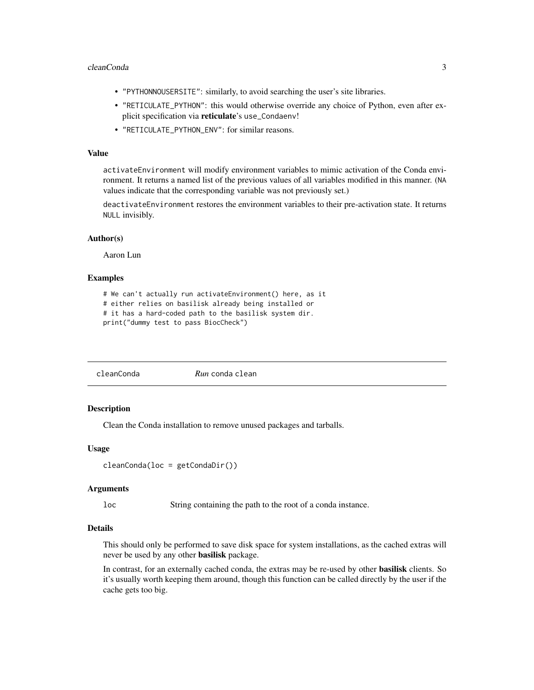#### <span id="page-2-0"></span>cleanConda 3

- "PYTHONNOUSERSITE": similarly, to avoid searching the user's site libraries.
- "RETICULATE\_PYTHON": this would otherwise override any choice of Python, even after explicit specification via reticulate's use\_Condaenv!
- "RETICULATE\_PYTHON\_ENV": for similar reasons.

# Value

activateEnvironment will modify environment variables to mimic activation of the Conda environment. It returns a named list of the previous values of all variables modified in this manner. (NA values indicate that the corresponding variable was not previously set.)

deactivateEnvironment restores the environment variables to their pre-activation state. It returns NULL invisibly.

#### Author(s)

Aaron Lun

# Examples

```
# We can't actually run activateEnvironment() here, as it
# either relies on basilisk already being installed or
# it has a hard-coded path to the basilisk system dir.
print("dummy test to pass BiocCheck")
```

| cleanConda | <i>Run</i> conda clean |  |  |
|------------|------------------------|--|--|
|------------|------------------------|--|--|

#### Description

Clean the Conda installation to remove unused packages and tarballs.

#### Usage

```
cleanConda(loc = getCondaDir())
```
#### Arguments

loc String containing the path to the root of a conda instance.

#### Details

This should only be performed to save disk space for system installations, as the cached extras will never be used by any other basilisk package.

In contrast, for an externally cached conda, the extras may be re-used by other basilisk clients. So it's usually worth keeping them around, though this function can be called directly by the user if the cache gets too big.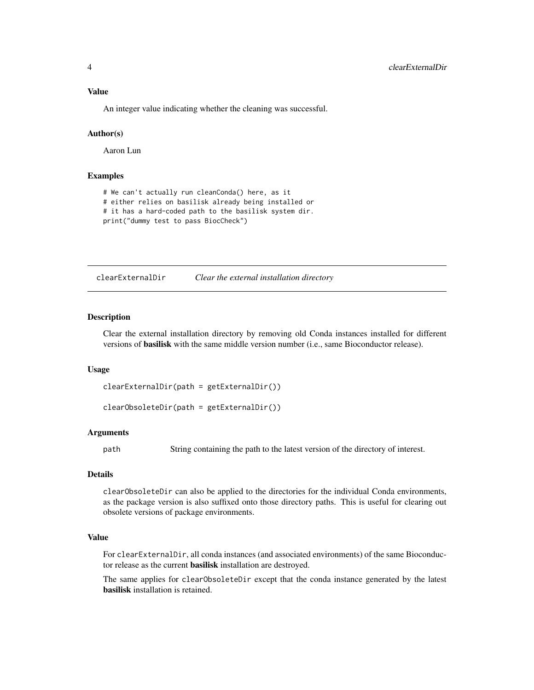<span id="page-3-0"></span>An integer value indicating whether the cleaning was successful.

# Author(s)

Aaron Lun

# Examples

```
# We can't actually run cleanConda() here, as it
# either relies on basilisk already being installed or
# it has a hard-coded path to the basilisk system dir.
print("dummy test to pass BiocCheck")
```
clearExternalDir *Clear the external installation directory*

#### <span id="page-3-1"></span>Description

Clear the external installation directory by removing old Conda instances installed for different versions of basilisk with the same middle version number (i.e., same Bioconductor release).

#### Usage

```
clearExternalDir(path = getExternalDir())
```
clearObsoleteDir(path = getExternalDir())

#### Arguments

path String containing the path to the latest version of the directory of interest.

#### Details

clearObsoleteDir can also be applied to the directories for the individual Conda environments, as the package version is also suffixed onto those directory paths. This is useful for clearing out obsolete versions of package environments.

#### Value

For clearExternalDir, all conda instances (and associated environments) of the same Bioconductor release as the current basilisk installation are destroyed.

The same applies for clearObsoleteDir except that the conda instance generated by the latest basilisk installation is retained.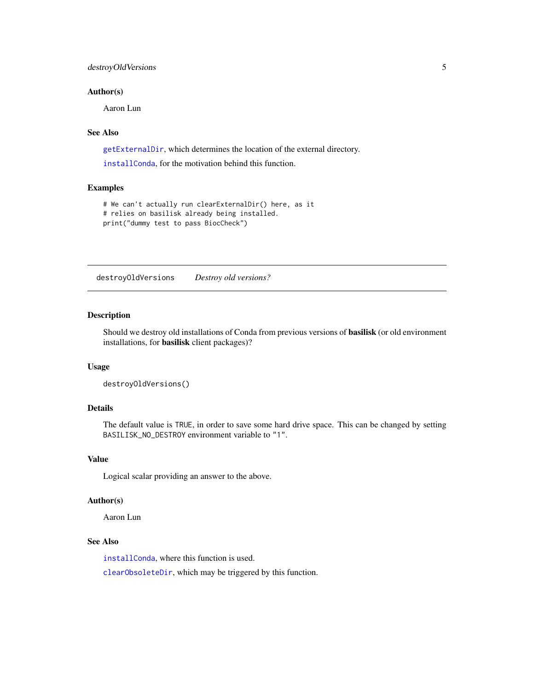# <span id="page-4-0"></span>destroyOldVersions 5

#### Author(s)

Aaron Lun

# See Also

[getExternalDir](#page-8-1), which determines the location of the external directory.

[installConda](#page-9-1), for the motivation behind this function.

#### Examples

```
# We can't actually run clearExternalDir() here, as it
# relies on basilisk already being installed.
print("dummy test to pass BiocCheck")
```
destroyOldVersions *Destroy old versions?*

# Description

Should we destroy old installations of Conda from previous versions of basilisk (or old environment installations, for basilisk client packages)?

### Usage

```
destroyOldVersions()
```
# Details

The default value is TRUE, in order to save some hard drive space. This can be changed by setting BASILISK\_NO\_DESTROY environment variable to "1".

# Value

Logical scalar providing an answer to the above.

# Author(s)

Aaron Lun

# See Also

[installConda](#page-9-1), where this function is used.

[clearObsoleteDir](#page-3-1), which may be triggered by this function.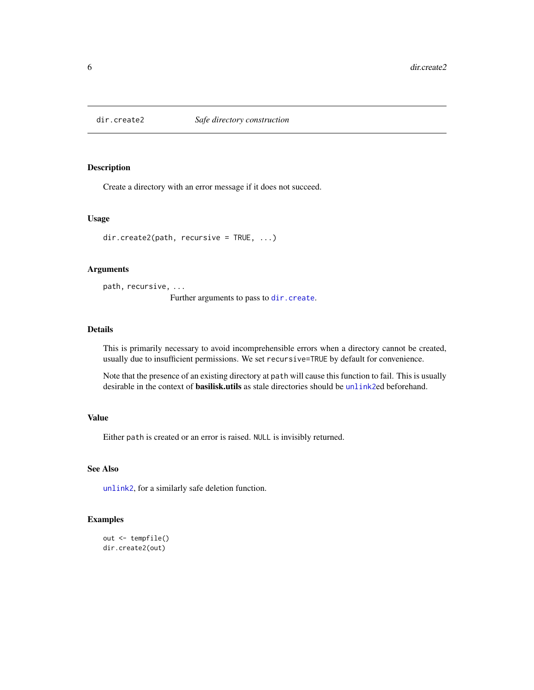<span id="page-5-1"></span><span id="page-5-0"></span>

Create a directory with an error message if it does not succeed.

#### Usage

dir.create2(path, recursive = TRUE, ...)

# Arguments

path, recursive, ...

Further arguments to pass to [dir.create](#page-0-0).

#### Details

This is primarily necessary to avoid incomprehensible errors when a directory cannot be created, usually due to insufficient permissions. We set recursive=TRUE by default for convenience.

Note that the presence of an existing directory at path will cause this function to fail. This is usually desirable in the context of **basilisk.utils** as stale directories should be [unlink2](#page-14-1)ed beforehand.

#### Value

Either path is created or an error is raised. NULL is invisibly returned.

# See Also

[unlink2](#page-14-1), for a similarly safe deletion function.

```
out <- tempfile()
dir.create2(out)
```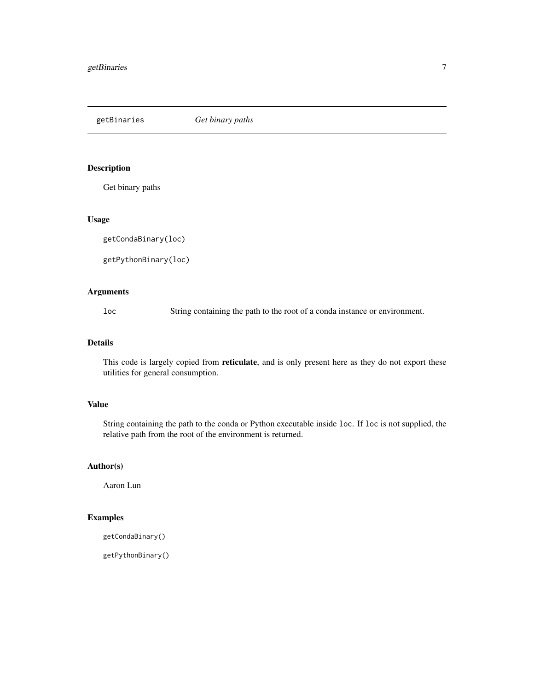<span id="page-6-0"></span>getBinaries *Get binary paths*

# Description

Get binary paths

# Usage

getCondaBinary(loc)

getPythonBinary(loc)

# Arguments

loc String containing the path to the root of a conda instance or environment.

#### Details

This code is largely copied from reticulate, and is only present here as they do not export these utilities for general consumption.

# Value

String containing the path to the conda or Python executable inside loc. If loc is not supplied, the relative path from the root of the environment is returned.

# Author(s)

Aaron Lun

# Examples

```
getCondaBinary()
```
getPythonBinary()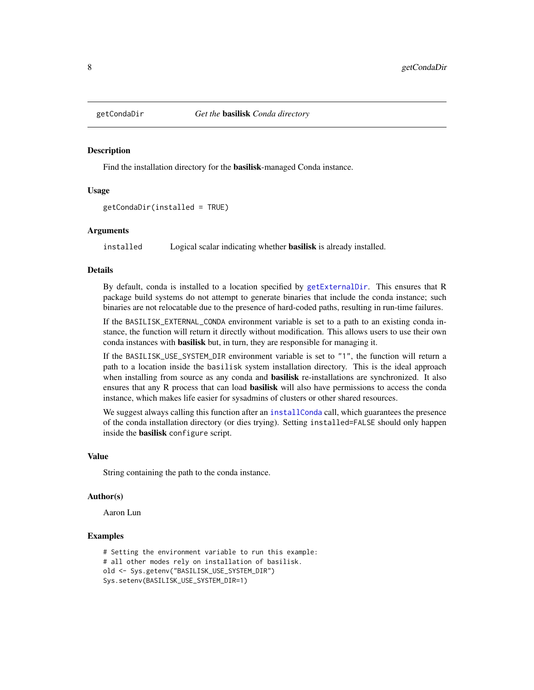<span id="page-7-1"></span><span id="page-7-0"></span>

Find the installation directory for the basilisk-managed Conda instance.

#### Usage

getCondaDir(installed = TRUE)

#### Arguments

installed Logical scalar indicating whether **basilisk** is already installed.

#### Details

By default, conda is installed to a location specified by [getExternalDir](#page-8-1). This ensures that R package build systems do not attempt to generate binaries that include the conda instance; such binaries are not relocatable due to the presence of hard-coded paths, resulting in run-time failures.

If the BASILISK\_EXTERNAL\_CONDA environment variable is set to a path to an existing conda instance, the function will return it directly without modification. This allows users to use their own conda instances with **basilisk** but, in turn, they are responsible for managing it.

If the BASILISK\_USE\_SYSTEM\_DIR environment variable is set to "1", the function will return a path to a location inside the basilisk system installation directory. This is the ideal approach when installing from source as any conda and **basilisk** re-installations are synchronized. It also ensures that any R process that can load **basilisk** will also have permissions to access the conda instance, which makes life easier for sysadmins of clusters or other shared resources.

We suggest always calling this function after an [installConda](#page-9-1) call, which guarantees the presence of the conda installation directory (or dies trying). Setting installed=FALSE should only happen inside the basilisk configure script.

#### Value

String containing the path to the conda instance.

#### Author(s)

Aaron Lun

```
# Setting the environment variable to run this example:
# all other modes rely on installation of basilisk.
old <- Sys.getenv("BASILISK_USE_SYSTEM_DIR")
Sys.setenv(BASILISK_USE_SYSTEM_DIR=1)
```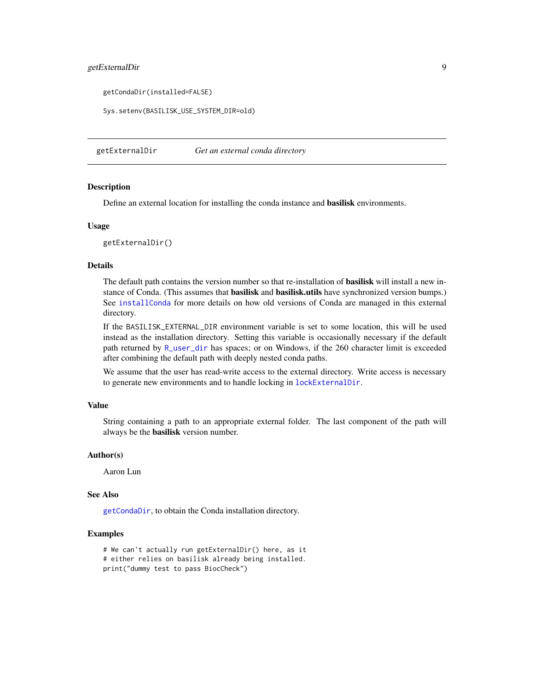# <span id="page-8-0"></span>getExternalDir 9

getCondaDir(installed=FALSE)

Sys.setenv(BASILISK\_USE\_SYSTEM\_DIR=old)

<span id="page-8-1"></span>getExternalDir *Get an external conda directory*

# Description

Define an external location for installing the conda instance and basilisk environments.

#### Usage

getExternalDir()

# Details

The default path contains the version number so that re-installation of **basilisk** will install a new instance of Conda. (This assumes that **basilisk** and **basilisk.utils** have synchronized version bumps.) See [installConda](#page-9-1) for more details on how old versions of Conda are managed in this external directory.

If the BASILISK\_EXTERNAL\_DIR environment variable is set to some location, this will be used instead as the installation directory. Setting this variable is occasionally necessary if the default path returned by [R\\_user\\_dir](#page-0-0) has spaces; or on Windows, if the 260 character limit is exceeded after combining the default path with deeply nested conda paths.

We assume that the user has read-write access to the external directory. Write access is necessary to generate new environments and to handle locking in [lockExternalDir](#page-11-1).

#### Value

String containing a path to an appropriate external folder. The last component of the path will always be the basilisk version number.

#### Author(s)

Aaron Lun

#### See Also

[getCondaDir](#page-7-1), to obtain the Conda installation directory.

```
# We can't actually run getExternalDir() here, as it
# either relies on basilisk already being installed.
print("dummy test to pass BiocCheck")
```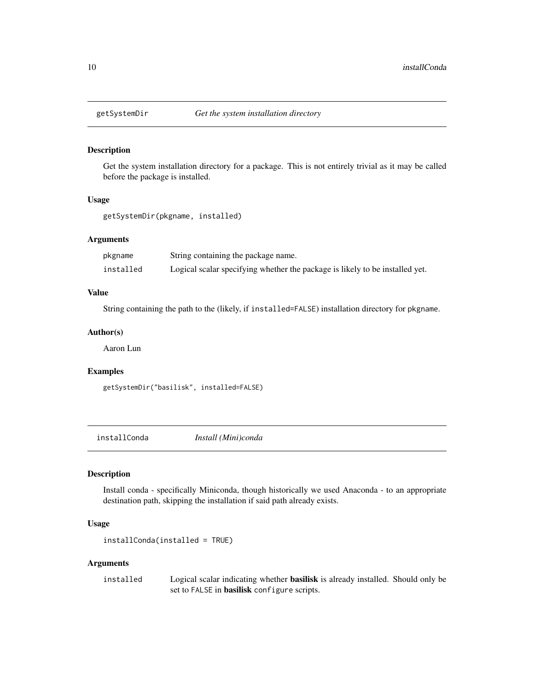<span id="page-9-0"></span>

Get the system installation directory for a package. This is not entirely trivial as it may be called before the package is installed.

#### Usage

getSystemDir(pkgname, installed)

# Arguments

| pkgname   | String containing the package name.                                          |
|-----------|------------------------------------------------------------------------------|
| installed | Logical scalar specifying whether the package is likely to be installed yet. |

# Value

String containing the path to the (likely, if installed=FALSE) installation directory for pkgname.

#### Author(s)

Aaron Lun

# Examples

getSystemDir("basilisk", installed=FALSE)

<span id="page-9-1"></span>installConda *Install (Mini)conda*

# Description

Install conda - specifically Miniconda, though historically we used Anaconda - to an appropriate destination path, skipping the installation if said path already exists.

#### Usage

```
installConda(installed = TRUE)
```
#### Arguments

installed Logical scalar indicating whether basilisk is already installed. Should only be set to FALSE in basilisk configure scripts.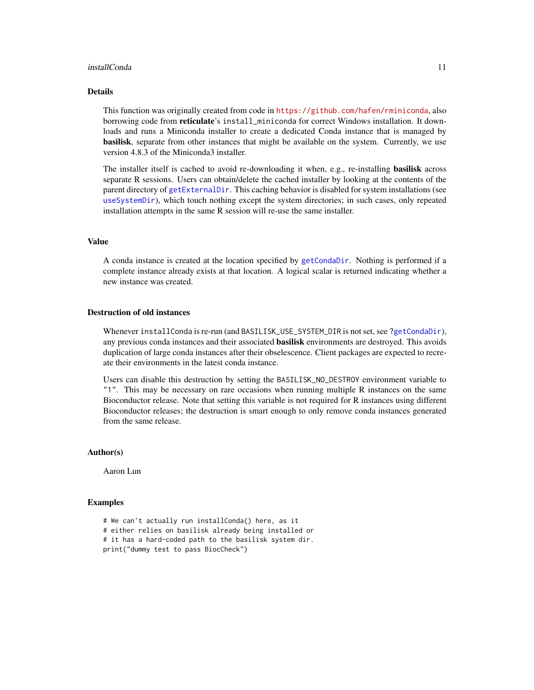#### <span id="page-10-0"></span>installConda 11

#### Details

This function was originally created from code in <https://github.com/hafen/rminiconda>, also borrowing code from reticulate's install\_miniconda for correct Windows installation. It downloads and runs a Miniconda installer to create a dedicated Conda instance that is managed by basilisk, separate from other instances that might be available on the system. Currently, we use version 4.8.3 of the Miniconda3 installer.

The installer itself is cached to avoid re-downloading it when, e.g., re-installing **basilisk** across separate R sessions. Users can obtain/delete the cached installer by looking at the contents of the parent directory of [getExternalDir](#page-8-1). This caching behavior is disabled for system installations (see [useSystemDir](#page-15-1)), which touch nothing except the system directories; in such cases, only repeated installation attempts in the same R session will re-use the same installer.

#### Value

A conda instance is created at the location specified by [getCondaDir](#page-7-1). Nothing is performed if a complete instance already exists at that location. A logical scalar is returned indicating whether a new instance was created.

#### Destruction of old instances

Whenever installConda is re-run (and BASILISK\_USE\_SYSTEM\_DIR is not set, see [?getCondaDir](#page-7-1)), any previous conda instances and their associated **basilisk** environments are destroyed. This avoids duplication of large conda instances after their obselescence. Client packages are expected to recreate their environments in the latest conda instance.

Users can disable this destruction by setting the BASILISK\_NO\_DESTROY environment variable to "1". This may be necessary on rare occasions when running multiple R instances on the same Bioconductor release. Note that setting this variable is not required for R instances using different Bioconductor releases; the destruction is smart enough to only remove conda instances generated from the same release.

#### Author(s)

Aaron Lun

```
# We can't actually run installConda() here, as it
# either relies on basilisk already being installed or
# it has a hard-coded path to the basilisk system dir.
print("dummy test to pass BiocCheck")
```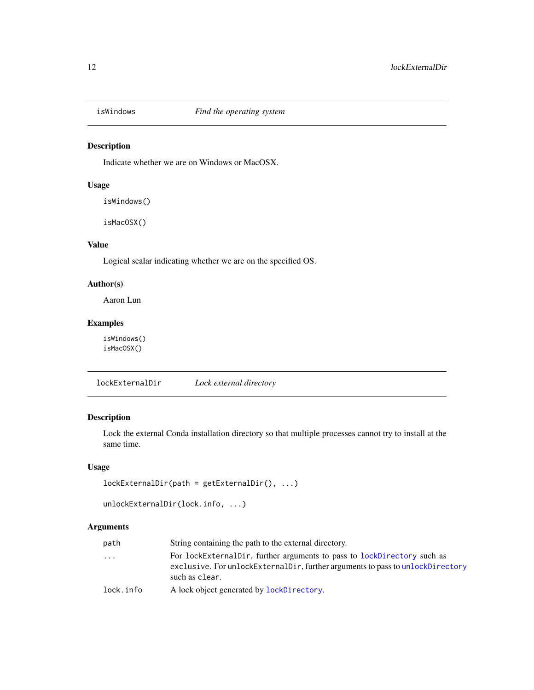<span id="page-11-0"></span>

Indicate whether we are on Windows or MacOSX.

# Usage

isWindows()

isMacOSX()

# Value

Logical scalar indicating whether we are on the specified OS.

# Author(s)

Aaron Lun

# Examples

isWindows() isMacOSX()

<span id="page-11-1"></span>lockExternalDir *Lock external directory*

# Description

Lock the external Conda installation directory so that multiple processes cannot try to install at the same time.

# Usage

```
lockExternalDir(path = getExternalDir(), ...)
```

```
unlockExternalDir(lock.info, ...)
```
# Arguments

| path                    | String containing the path to the external directory.                                                                                                                       |
|-------------------------|-----------------------------------------------------------------------------------------------------------------------------------------------------------------------------|
| $\cdot$ $\cdot$ $\cdot$ | For lockExternalDir, further arguments to pass to lockDirectory such as<br>exclusive. For unlockExternalDir, further arguments to pass to unlockDirectory<br>such as clear. |
| lock.info               | A lock object generated by <b>lockDirectory</b> .                                                                                                                           |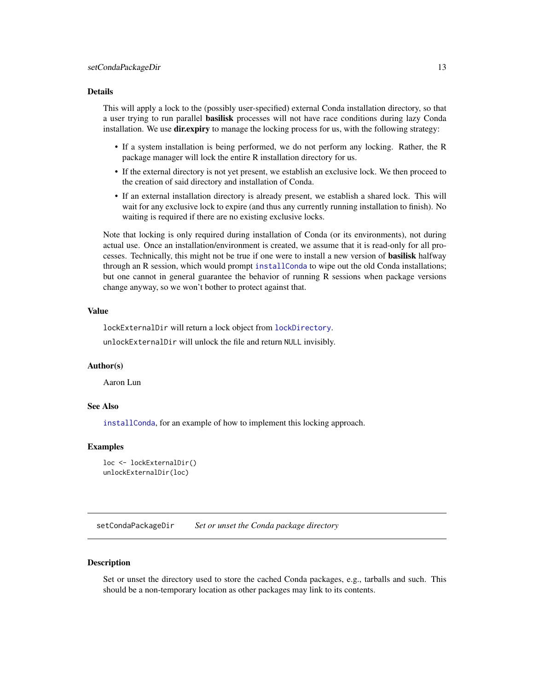#### <span id="page-12-0"></span>Details

This will apply a lock to the (possibly user-specified) external Conda installation directory, so that a user trying to run parallel **basilisk** processes will not have race conditions during lazy Conda installation. We use dir.expiry to manage the locking process for us, with the following strategy:

- If a system installation is being performed, we do not perform any locking. Rather, the R package manager will lock the entire R installation directory for us.
- If the external directory is not yet present, we establish an exclusive lock. We then proceed to the creation of said directory and installation of Conda.
- If an external installation directory is already present, we establish a shared lock. This will wait for any exclusive lock to expire (and thus any currently running installation to finish). No waiting is required if there are no existing exclusive locks.

Note that locking is only required during installation of Conda (or its environments), not during actual use. Once an installation/environment is created, we assume that it is read-only for all processes. Technically, this might not be true if one were to install a new version of **basilisk** halfway through an R session, which would prompt [installConda](#page-9-1) to wipe out the old Conda installations; but one cannot in general guarantee the behavior of running R sessions when package versions change anyway, so we won't bother to protect against that.

# Value

lockExternalDir will return a lock object from [lockDirectory](#page-0-0). unlockExternalDir will unlock the file and return NULL invisibly.

#### Author(s)

Aaron Lun

#### See Also

[installConda](#page-9-1), for an example of how to implement this locking approach.

#### Examples

```
loc <- lockExternalDir()
unlockExternalDir(loc)
```
setCondaPackageDir *Set or unset the Conda package directory*

#### **Description**

Set or unset the directory used to store the cached Conda packages, e.g., tarballs and such. This should be a non-temporary location as other packages may link to its contents.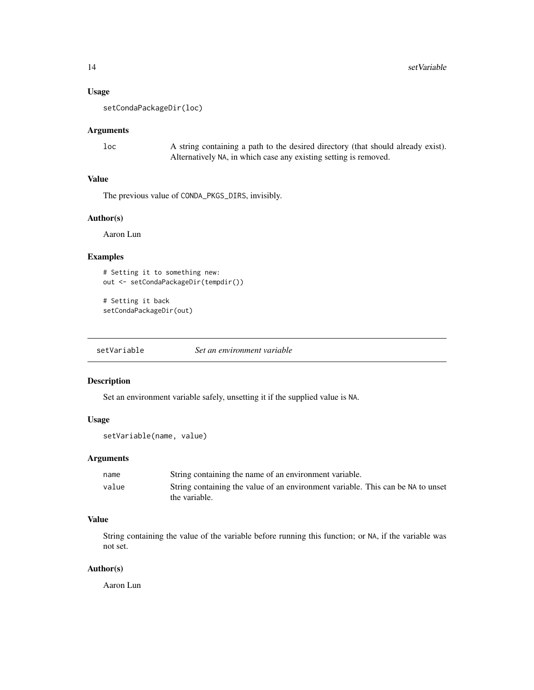#### <span id="page-13-0"></span>Usage

setCondaPackageDir(loc)

#### Arguments

loc A string containing a path to the desired directory (that should already exist). Alternatively NA, in which case any existing setting is removed.

# Value

The previous value of CONDA\_PKGS\_DIRS, invisibly.

#### Author(s)

Aaron Lun

# Examples

```
# Setting it to something new:
out <- setCondaPackageDir(tempdir())
```

```
# Setting it back
setCondaPackageDir(out)
```
setVariable *Set an environment variable*

# Description

Set an environment variable safely, unsetting it if the supplied value is NA.

#### Usage

```
setVariable(name, value)
```
#### Arguments

| name  | String containing the name of an environment variable.                          |
|-------|---------------------------------------------------------------------------------|
| value | String containing the value of an environment variable. This can be NA to unset |
|       | the variable.                                                                   |

#### Value

String containing the value of the variable before running this function; or NA, if the variable was not set.

# Author(s)

Aaron Lun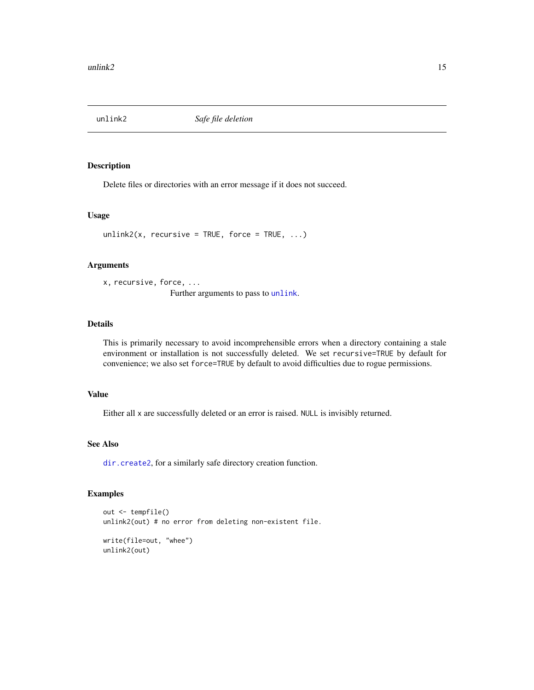<span id="page-14-1"></span><span id="page-14-0"></span>

Delete files or directories with an error message if it does not succeed.

#### Usage

 $unlink2(x, recursive = TRUE, force = TRUE, ...)$ 

# Arguments

x, recursive, force, ... Further arguments to pass to [unlink](#page-0-0).

#### Details

This is primarily necessary to avoid incomprehensible errors when a directory containing a stale environment or installation is not successfully deleted. We set recursive=TRUE by default for convenience; we also set force=TRUE by default to avoid difficulties due to rogue permissions.

# Value

Either all x are successfully deleted or an error is raised. NULL is invisibly returned.

## See Also

[dir.create2](#page-5-1), for a similarly safe directory creation function.

# Examples

```
out <- tempfile()
unlink2(out) # no error from deleting non-existent file.
write(file=out, "whee")
```
unlink2(out)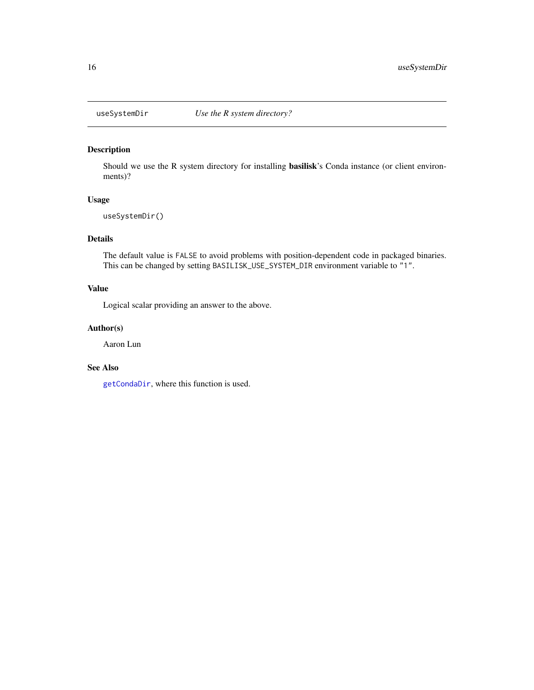<span id="page-15-1"></span><span id="page-15-0"></span>

Should we use the R system directory for installing basilisk's Conda instance (or client environments)?

#### Usage

useSystemDir()

# Details

The default value is FALSE to avoid problems with position-dependent code in packaged binaries. This can be changed by setting BASILISK\_USE\_SYSTEM\_DIR environment variable to "1".

# Value

Logical scalar providing an answer to the above.

#### Author(s)

Aaron Lun

#### See Also

[getCondaDir](#page-7-1), where this function is used.